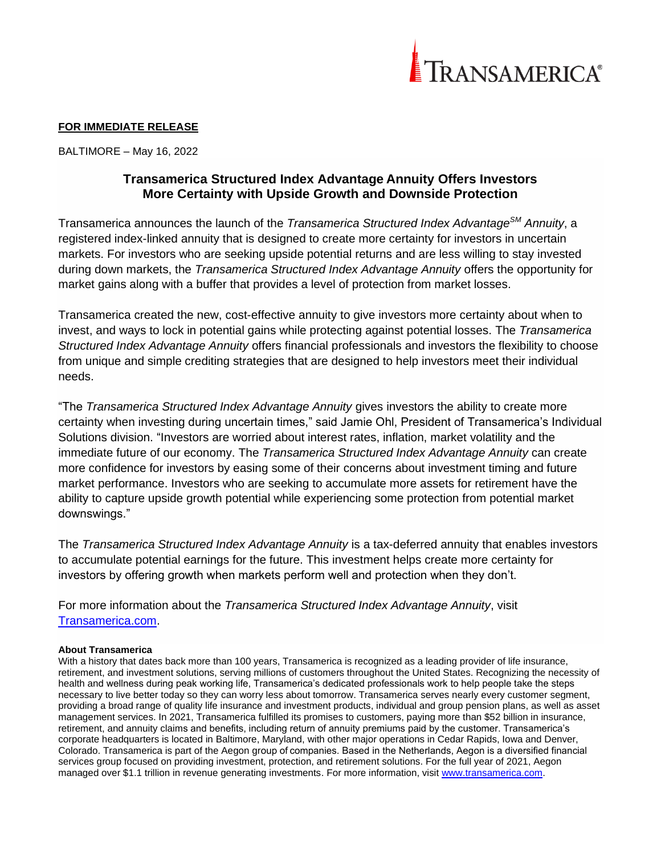

## **FOR IMMEDIATE RELEASE**

BALTIMORE – May 16, 2022

# **Transamerica Structured Index Advantage Annuity Offers Investors More Certainty with Upside Growth and Downside Protection**

Transamerica announces the launch of the *Transamerica Structured Index AdvantageSM Annuity*, a registered index-linked annuity that is designed to create more certainty for investors in uncertain markets. For investors who are seeking upside potential returns and are less willing to stay invested during down markets, the *Transamerica Structured Index Advantage Annuity* offers the opportunity for market gains along with a buffer that provides a level of protection from market losses.

Transamerica created the new, cost-effective annuity to give investors more certainty about when to invest, and ways to lock in potential gains while protecting against potential losses. The *Transamerica Structured Index Advantage Annuity* offers financial professionals and investors the flexibility to choose from unique and simple crediting strategies that are designed to help investors meet their individual needs.

"The *Transamerica Structured Index Advantage Annuity* gives investors the ability to create more certainty when investing during uncertain times," said Jamie Ohl, President of Transamerica's Individual Solutions division. "Investors are worried about interest rates, inflation, market volatility and the immediate future of our economy. The *Transamerica Structured Index Advantage Annuity* can create more confidence for investors by easing some of their concerns about investment timing and future market performance. Investors who are seeking to accumulate more assets for retirement have the ability to capture upside growth potential while experiencing some protection from potential market downswings."

The *Transamerica Structured Index Advantage Annuity* is a tax-deferred annuity that enables investors to accumulate potential earnings for the future. This investment helps create more certainty for investors by offering growth when markets perform well and protection when they don't.

For more information about the *Transamerica Structured Index Advantage Annuity*, visit [Transamerica.com.](https://www.transamerica.com/annuities/transamerica-structured-index-advantage-annuity)

### **About Transamerica**

With a history that dates back more than 100 years, Transamerica is recognized as a leading provider of life insurance, retirement, and investment solutions, serving millions of customers throughout the United States. Recognizing the necessity of health and wellness during peak working life, Transamerica's dedicated professionals work to help people take the steps necessary to live better today so they can worry less about tomorrow. Transamerica serves nearly every customer segment, providing a broad range of quality life insurance and investment products, individual and group pension plans, as well as asset management services. In 2021, Transamerica fulfilled its promises to customers, paying more than \$52 billion in insurance, retirement, and annuity claims and benefits, including return of annuity premiums paid by the customer. Transamerica's corporate headquarters is located in Baltimore, Maryland, with other major operations in Cedar Rapids, Iowa and Denver, Colorado. Transamerica is part of the Aegon group of companies. Based in the Netherlands, Aegon is a diversified financial services group focused on providing investment, protection, and retirement solutions. For the full year of 2021, Aegon managed over \$1.1 trillion in revenue generating investments. For more information, visit [www.transamerica.com.](http://www.transamerica.com/)